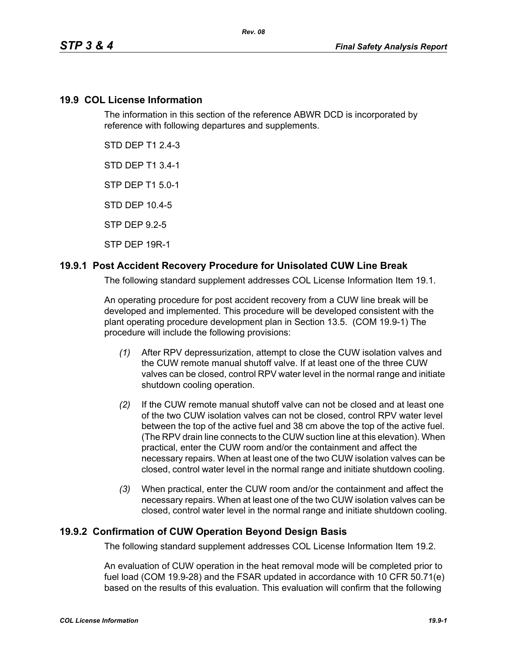#### **19.9 COL License Information**

The information in this section of the reference ABWR DCD is incorporated by reference with following departures and supplements.

STD DEP T1 2.4-3

STD DEP T1 3.4-1

STP DEP T1 5.0-1

STD DEP 10.4-5

STP DEP 9.2-5

STP DEP 19R-1

## **19.9.1 Post Accident Recovery Procedure for Unisolated CUW Line Break**

The following standard supplement addresses COL License Information Item 19.1.

An operating procedure for post accident recovery from a CUW line break will be developed and implemented. This procedure will be developed consistent with the plant operating procedure development plan in Section 13.5. (COM 19.9-1) The procedure will include the following provisions:

- *(1)* After RPV depressurization, attempt to close the CUW isolation valves and the CUW remote manual shutoff valve. If at least one of the three CUW valves can be closed, control RPV water level in the normal range and initiate shutdown cooling operation.
- *(2)* If the CUW remote manual shutoff valve can not be closed and at least one of the two CUW isolation valves can not be closed, control RPV water level between the top of the active fuel and 38 cm above the top of the active fuel. (The RPV drain line connects to the CUW suction line at this elevation). When practical, enter the CUW room and/or the containment and affect the necessary repairs. When at least one of the two CUW isolation valves can be closed, control water level in the normal range and initiate shutdown cooling.
- *(3)* When practical, enter the CUW room and/or the containment and affect the necessary repairs. When at least one of the two CUW isolation valves can be closed, control water level in the normal range and initiate shutdown cooling.

## **19.9.2 Confirmation of CUW Operation Beyond Design Basis**

The following standard supplement addresses COL License Information Item 19.2.

An evaluation of CUW operation in the heat removal mode will be completed prior to fuel load (COM 19.9-28) and the FSAR updated in accordance with 10 CFR 50.71(e) based on the results of this evaluation. This evaluation will confirm that the following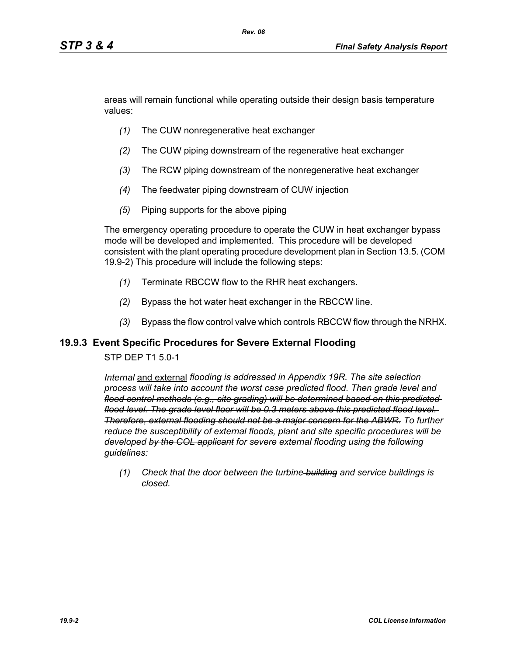areas will remain functional while operating outside their design basis temperature values:

- *(1)* The CUW nonregenerative heat exchanger
- *(2)* The CUW piping downstream of the regenerative heat exchanger
- *(3)* The RCW piping downstream of the nonregenerative heat exchanger
- *(4)* The feedwater piping downstream of CUW injection
- *(5)* Piping supports for the above piping

The emergency operating procedure to operate the CUW in heat exchanger bypass mode will be developed and implemented. This procedure will be developed consistent with the plant operating procedure development plan in Section 13.5. (COM 19.9-2) This procedure will include the following steps:

- *(1)* Terminate RBCCW flow to the RHR heat exchangers.
- *(2)* Bypass the hot water heat exchanger in the RBCCW line.
- *(3)* Bypass the flow control valve which controls RBCCW flow through the NRHX.

#### **19.9.3 Event Specific Procedures for Severe External Flooding**

#### STP DEP T1 5.0-1

*Internal* and external *flooding is addressed in Appendix 19R. The site selection process will take into account the worst case predicted flood. Then grade level and flood control methods (e.g., site grading) will be determined based on this predicted flood level. The grade level floor will be 0.3 meters above this predicted flood level. Therefore, external flooding should not be a major concern for the ABWR. To further reduce the susceptibility of external floods, plant and site specific procedures will be developed by the COL applicant for severe external flooding using the following guidelines:* 

*(1) Check that the door between the turbine building and service buildings is closed.*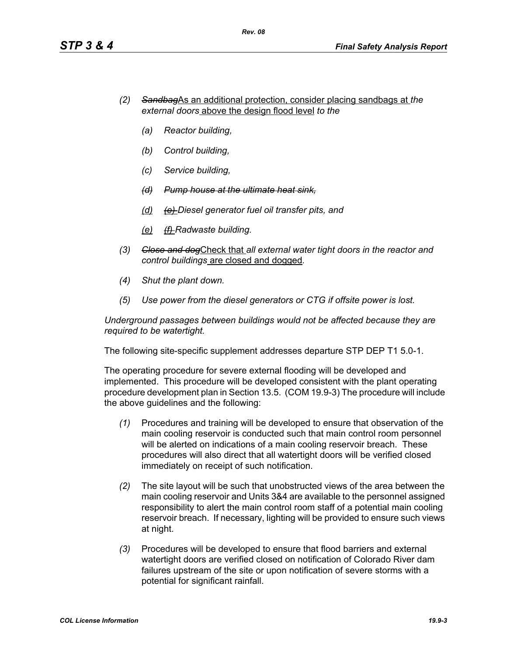- *(2) Sandbag*As an additional protection, consider placing sandbags at *the external doors* above the design flood level *to the*
	- *(a) Reactor building,*
	- *(b) Control building,*
	- *(c) Service building,*
	- *(d) Pump house at the ultimate heat sink,*
	- *(d) (e) Diesel generator fuel oil transfer pits, and*
	- *(e) (f) Radwaste building.*
- *(3) Close and dog*Check that *all external water tight doors in the reactor and control buildings* are closed and dogged*.*
- *(4) Shut the plant down.*
- *(5) Use power from the diesel generators or CTG if offsite power is lost.*

*Underground passages between buildings would not be affected because they are required to be watertight.*

The following site-specific supplement addresses departure STP DEP T1 5.0-1.

The operating procedure for severe external flooding will be developed and implemented. This procedure will be developed consistent with the plant operating procedure development plan in Section 13.5. (COM 19.9-3) The procedure will include the above guidelines and the following:

- *(1)* Procedures and training will be developed to ensure that observation of the main cooling reservoir is conducted such that main control room personnel will be alerted on indications of a main cooling reservoir breach. These procedures will also direct that all watertight doors will be verified closed immediately on receipt of such notification.
- *(2)* The site layout will be such that unobstructed views of the area between the main cooling reservoir and Units 3&4 are available to the personnel assigned responsibility to alert the main control room staff of a potential main cooling reservoir breach. If necessary, lighting will be provided to ensure such views at night.
- *(3)* Procedures will be developed to ensure that flood barriers and external watertight doors are verified closed on notification of Colorado River dam failures upstream of the site or upon notification of severe storms with a potential for significant rainfall.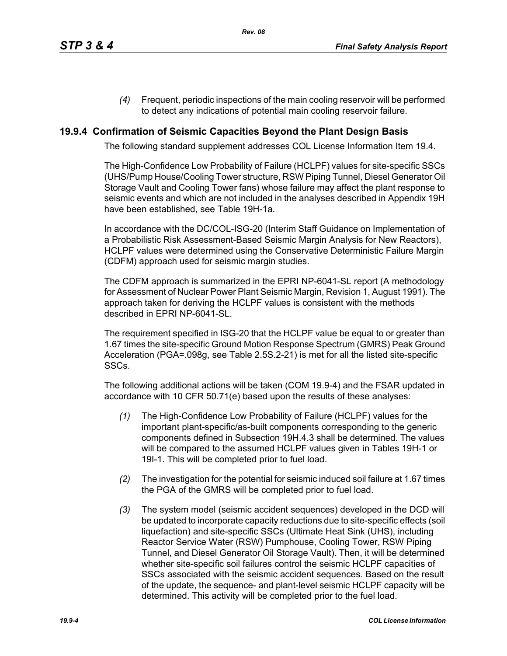*(4)* Frequent, periodic inspections of the main cooling reservoir will be performed to detect any indications of potential main cooling reservoir failure.

## **19.9.4 Confirmation of Seismic Capacities Beyond the Plant Design Basis**

The following standard supplement addresses COL License Information Item 19.4.

The High-Confidence Low Probability of Failure (HCLPF) values for site-specific SSCs (UHS/Pump House/Cooling Tower structure, RSW Piping Tunnel, Diesel Generator Oil Storage Vault and Cooling Tower fans) whose failure may affect the plant response to seismic events and which are not included in the analyses described in Appendix 19H have been established, see Table 19H-1a.

In accordance with the DC/COL-ISG-20 (Interim Staff Guidance on Implementation of a Probabilistic Risk Assessment-Based Seismic Margin Analysis for New Reactors), HCLPF values were determined using the Conservative Deterministic Failure Margin (CDFM) approach used for seismic margin studies.

The CDFM approach is summarized in the EPRI NP-6041-SL report (A methodology for Assessment of Nuclear Power Plant Seismic Margin, Revision 1, August 1991). The approach taken for deriving the HCLPF values is consistent with the methods described in EPRI NP-6041-SL.

The requirement specified in ISG-20 that the HCLPF value be equal to or greater than 1.67 times the site-specific Ground Motion Response Spectrum (GMRS) Peak Ground Acceleration (PGA=.098g, see Table 2.5S.2-21) is met for all the listed site-specific SSCs.

The following additional actions will be taken (COM 19.9-4) and the FSAR updated in accordance with 10 CFR 50.71(e) based upon the results of these analyses:

- *(1)* The High-Confidence Low Probability of Failure (HCLPF) values for the important plant-specific/as-built components corresponding to the generic components defined in Subsection 19H.4.3 shall be determined. The values will be compared to the assumed HCLPF values given in Tables 19H-1 or 19I-1. This will be completed prior to fuel load.
- *(2)* The investigation for the potential for seismic induced soil failure at 1.67 times the PGA of the GMRS will be completed prior to fuel load.
- *(3)* The system model (seismic accident sequences) developed in the DCD will be updated to incorporate capacity reductions due to site-specific effects (soil liquefaction) and site-specific SSCs (Ultimate Heat Sink (UHS), including Reactor Service Water (RSW) Pumphouse, Cooling Tower, RSW Piping Tunnel, and Diesel Generator Oil Storage Vault). Then, it will be determined whether site-specific soil failures control the seismic HCLPF capacities of SSCs associated with the seismic accident sequences. Based on the result of the update, the sequence- and plant-level seismic HCLPF capacity will be determined. This activity will be completed prior to the fuel load.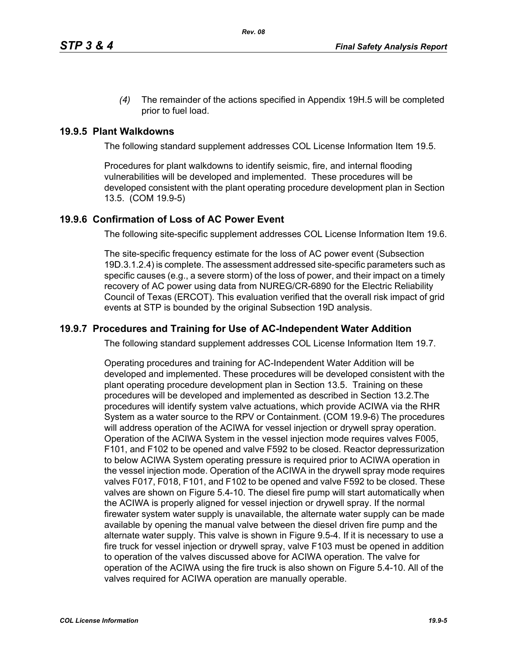*(4)* The remainder of the actions specified in Appendix 19H.5 will be completed prior to fuel load.

#### **19.9.5 Plant Walkdowns**

The following standard supplement addresses COL License Information Item 19.5.

Procedures for plant walkdowns to identify seismic, fire, and internal flooding vulnerabilities will be developed and implemented. These procedures will be developed consistent with the plant operating procedure development plan in Section 13.5. (COM 19.9-5)

#### **19.9.6 Confirmation of Loss of AC Power Event**

The following site-specific supplement addresses COL License Information Item 19.6.

The site-specific frequency estimate for the loss of AC power event (Subsection 19D.3.1.2.4) is complete. The assessment addressed site-specific parameters such as specific causes (e.g., a severe storm) of the loss of power, and their impact on a timely recovery of AC power using data from NUREG/CR-6890 for the Electric Reliability Council of Texas (ERCOT). This evaluation verified that the overall risk impact of grid events at STP is bounded by the original Subsection 19D analysis.

#### **19.9.7 Procedures and Training for Use of AC-Independent Water Addition**

The following standard supplement addresses COL License Information Item 19.7.

Operating procedures and training for AC-Independent Water Addition will be developed and implemented. These procedures will be developed consistent with the plant operating procedure development plan in Section 13.5. Training on these procedures will be developed and implemented as described in Section 13.2.The procedures will identify system valve actuations, which provide ACIWA via the RHR System as a water source to the RPV or Containment. (COM 19.9-6) The procedures will address operation of the ACIWA for vessel injection or drywell spray operation. Operation of the ACIWA System in the vessel injection mode requires valves F005, F101, and F102 to be opened and valve F592 to be closed. Reactor depressurization to below ACIWA System operating pressure is required prior to ACIWA operation in the vessel injection mode. Operation of the ACIWA in the drywell spray mode requires valves F017, F018, F101, and F102 to be opened and valve F592 to be closed. These valves are shown on Figure 5.4-10. The diesel fire pump will start automatically when the ACIWA is properly aligned for vessel injection or drywell spray. If the normal firewater system water supply is unavailable, the alternate water supply can be made available by opening the manual valve between the diesel driven fire pump and the alternate water supply. This valve is shown in Figure 9.5-4. If it is necessary to use a fire truck for vessel injection or drywell spray, valve F103 must be opened in addition to operation of the valves discussed above for ACIWA operation. The valve for operation of the ACIWA using the fire truck is also shown on Figure 5.4-10. All of the valves required for ACIWA operation are manually operable.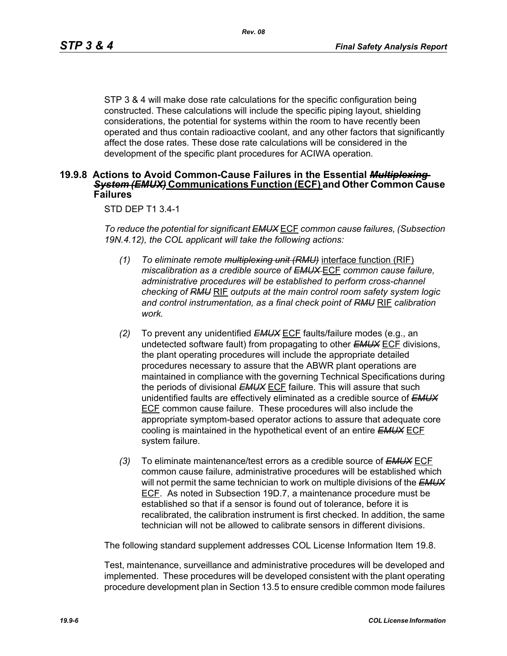STP 3 & 4 will make dose rate calculations for the specific configuration being constructed. These calculations will include the specific piping layout, shielding considerations, the potential for systems within the room to have recently been operated and thus contain radioactive coolant, and any other factors that significantly affect the dose rates. These dose rate calculations will be considered in the development of the specific plant procedures for ACIWA operation.

#### **19.9.8 Actions to Avoid Common-Cause Failures in the Essential** *Multiplexing System (EMUX)* **Communications Function (ECF) and Other Common Cause Failures**

#### STD DEP T1 3.4-1

*To reduce the potential for significant EMUX* ECF *common cause failures, (Subsection 19N.4.12), the COL applicant will take the following actions:*

- *(1) To eliminate remote multiplexing unit (RMU)* interface function (RIF) *miscalibration as a credible source of EMUX* ECF *common cause failure, administrative procedures will be established to perform cross-channel checking of RMU* RIF *outputs at the main control room safety system logic and control instrumentation, as a final check point of RMU* RIF *calibration work.*
- *(2)* To prevent any unidentified *EMUX* ECF faults/failure modes (e.g., an undetected software fault) from propagating to other *EMUX* ECF divisions, the plant operating procedures will include the appropriate detailed procedures necessary to assure that the ABWR plant operations are maintained in compliance with the governing Technical Specifications during the periods of divisional *EMUX* ECF failure. This will assure that such unidentified faults are effectively eliminated as a credible source of *EMUX* ECF common cause failure. These procedures will also include the appropriate symptom-based operator actions to assure that adequate core cooling is maintained in the hypothetical event of an entire *EMUX* ECF system failure.
- *(3)* To eliminate maintenance/test errors as a credible source of *EMUX* ECF common cause failure, administrative procedures will be established which will not permit the same technician to work on multiple divisions of the *EMUX* ECF. As noted in Subsection 19D.7, a maintenance procedure must be established so that if a sensor is found out of tolerance, before it is recalibrated, the calibration instrument is first checked. In addition, the same technician will not be allowed to calibrate sensors in different divisions.

The following standard supplement addresses COL License Information Item 19.8.

Test, maintenance, surveillance and administrative procedures will be developed and implemented. These procedures will be developed consistent with the plant operating procedure development plan in Section 13.5 to ensure credible common mode failures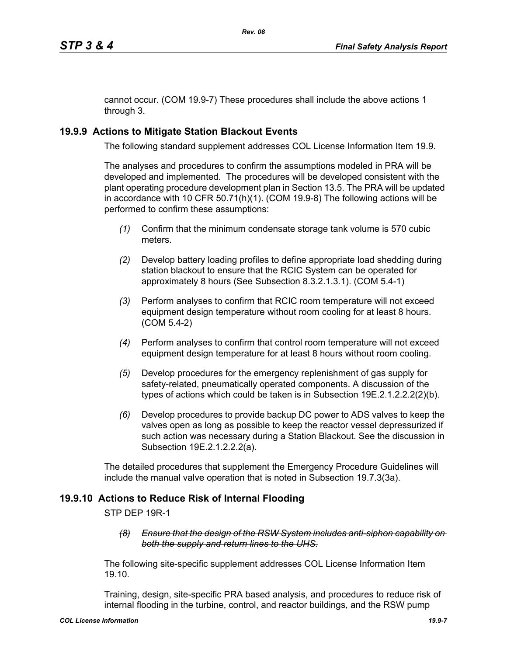cannot occur. (COM 19.9-7) These procedures shall include the above actions 1 through 3.

# **19.9.9 Actions to Mitigate Station Blackout Events**

The following standard supplement addresses COL License Information Item 19.9.

The analyses and procedures to confirm the assumptions modeled in PRA will be developed and implemented. The procedures will be developed consistent with the plant operating procedure development plan in Section 13.5. The PRA will be updated in accordance with 10 CFR 50.71(h)(1). (COM 19.9-8) The following actions will be performed to confirm these assumptions:

- *(1)* Confirm that the minimum condensate storage tank volume is 570 cubic meters.
- *(2)* Develop battery loading profiles to define appropriate load shedding during station blackout to ensure that the RCIC System can be operated for approximately 8 hours (See Subsection 8.3.2.1.3.1). (COM 5.4-1)
- *(3)* Perform analyses to confirm that RCIC room temperature will not exceed equipment design temperature without room cooling for at least 8 hours. (COM 5.4-2)
- *(4)* Perform analyses to confirm that control room temperature will not exceed equipment design temperature for at least 8 hours without room cooling.
- *(5)* Develop procedures for the emergency replenishment of gas supply for safety-related, pneumatically operated components. A discussion of the types of actions which could be taken is in Subsection 19E.2.1.2.2.2(2)(b).
- *(6)* Develop procedures to provide backup DC power to ADS valves to keep the valves open as long as possible to keep the reactor vessel depressurized if such action was necessary during a Station Blackout. See the discussion in Subsection 19E.2.1.2.2.2(a).

The detailed procedures that supplement the Emergency Procedure Guidelines will include the manual valve operation that is noted in Subsection 19.7.3(3a).

# **19.9.10 Actions to Reduce Risk of Internal Flooding**

STP DEP 19R-1

*(8) Ensure that the design of the RSW System includes anti-siphon capability on both the supply and return lines to the UHS.*

The following site-specific supplement addresses COL License Information Item 19.10.

Training, design, site-specific PRA based analysis, and procedures to reduce risk of internal flooding in the turbine, control, and reactor buildings, and the RSW pump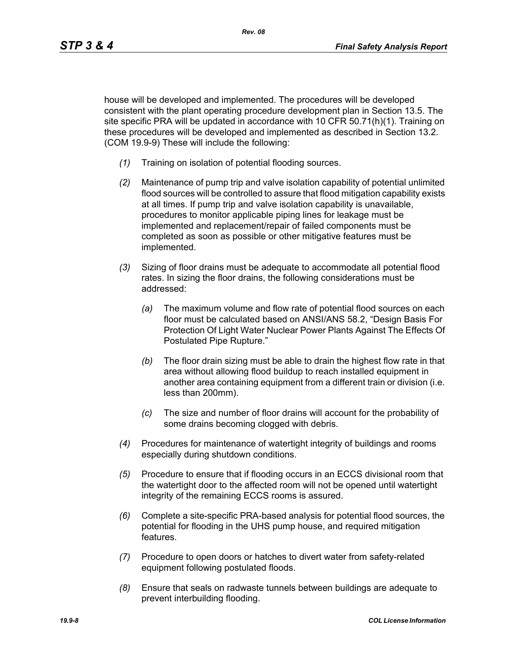house will be developed and implemented. The procedures will be developed consistent with the plant operating procedure development plan in Section 13.5. The site specific PRA will be updated in accordance with 10 CFR 50.71(h)(1). Training on these procedures will be developed and implemented as described in Section 13.2. (COM 19.9-9) These will include the following:

- *(1)* Training on isolation of potential flooding sources.
- *(2)* Maintenance of pump trip and valve isolation capability of potential unlimited flood sources will be controlled to assure that flood mitigation capability exists at all times. If pump trip and valve isolation capability is unavailable, procedures to monitor applicable piping lines for leakage must be implemented and replacement/repair of failed components must be completed as soon as possible or other mitigative features must be implemented.
- *(3)* Sizing of floor drains must be adequate to accommodate all potential flood rates. In sizing the floor drains, the following considerations must be addressed:
	- *(a)* The maximum volume and flow rate of potential flood sources on each floor must be calculated based on ANSI/ANS 58.2, "Design Basis For Protection Of Light Water Nuclear Power Plants Against The Effects Of Postulated Pipe Rupture."
	- *(b)* The floor drain sizing must be able to drain the highest flow rate in that area without allowing flood buildup to reach installed equipment in another area containing equipment from a different train or division (i.e. less than 200mm).
	- *(c)* The size and number of floor drains will account for the probability of some drains becoming clogged with debris.
- *(4)* Procedures for maintenance of watertight integrity of buildings and rooms especially during shutdown conditions.
- *(5)* Procedure to ensure that if flooding occurs in an ECCS divisional room that the watertight door to the affected room will not be opened until watertight integrity of the remaining ECCS rooms is assured.
- *(6)* Complete a site-specific PRA-based analysis for potential flood sources, the potential for flooding in the UHS pump house, and required mitigation features.
- *(7)* Procedure to open doors or hatches to divert water from safety-related equipment following postulated floods.
- *(8)* Ensure that seals on radwaste tunnels between buildings are adequate to prevent interbuilding flooding.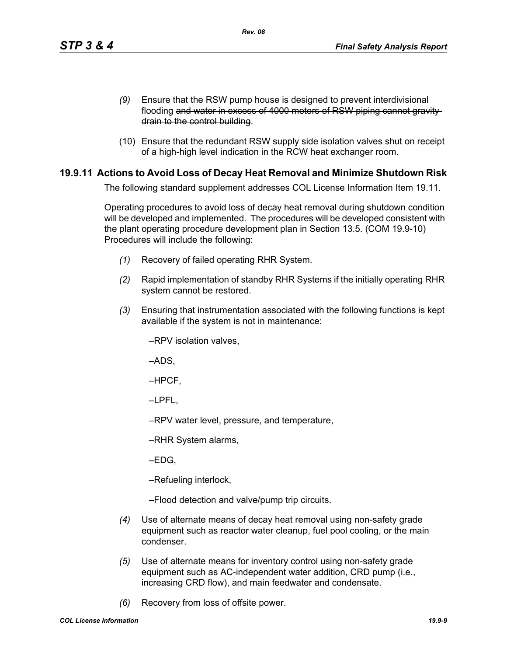- *(9)* Ensure that the RSW pump house is designed to prevent interdivisional flooding and water in excess of 4000 meters of RSW piping cannot gravity drain to the control building.
- (10) Ensure that the redundant RSW supply side isolation valves shut on receipt of a high-high level indication in the RCW heat exchanger room.

# **19.9.11 Actions to Avoid Loss of Decay Heat Removal and Minimize Shutdown Risk**

The following standard supplement addresses COL License Information Item 19.11.

Operating procedures to avoid loss of decay heat removal during shutdown condition will be developed and implemented. The procedures will be developed consistent with the plant operating procedure development plan in Section 13.5. (COM 19.9-10) Procedures will include the following:

- *(1)* Recovery of failed operating RHR System.
- *(2)* Rapid implementation of standby RHR Systems if the initially operating RHR system cannot be restored.
- *(3)* Ensuring that instrumentation associated with the following functions is kept available if the system is not in maintenance:

–RPV isolation valves,

–ADS,

–HPCF,

–LPFL,

–RPV water level, pressure, and temperature,

–RHR System alarms,

–EDG,

–Refueling interlock,

–Flood detection and valve/pump trip circuits.

- *(4)* Use of alternate means of decay heat removal using non-safety grade equipment such as reactor water cleanup, fuel pool cooling, or the main condenser.
- *(5)* Use of alternate means for inventory control using non-safety grade equipment such as AC-independent water addition, CRD pump (i.e., increasing CRD flow), and main feedwater and condensate.
- *(6)* Recovery from loss of offsite power.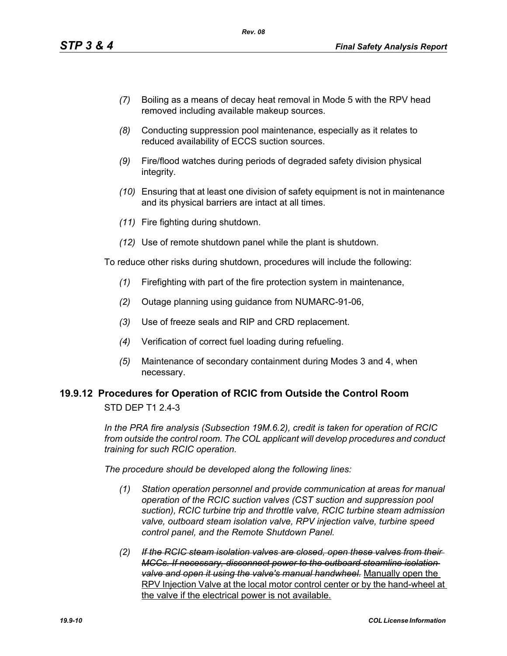- *(7)* Boiling as a means of decay heat removal in Mode 5 with the RPV head removed including available makeup sources.
- *(8)* Conducting suppression pool maintenance, especially as it relates to reduced availability of ECCS suction sources.
- *(9)* Fire/flood watches during periods of degraded safety division physical integrity.
- *(10)* Ensuring that at least one division of safety equipment is not in maintenance and its physical barriers are intact at all times.
- *(11)* Fire fighting during shutdown.
- *(12)* Use of remote shutdown panel while the plant is shutdown.

To reduce other risks during shutdown, procedures will include the following:

- *(1)* Firefighting with part of the fire protection system in maintenance,
- *(2)* Outage planning using guidance from NUMARC-91-06,
- *(3)* Use of freeze seals and RIP and CRD replacement.
- *(4)* Verification of correct fuel loading during refueling.
- *(5)* Maintenance of secondary containment during Modes 3 and 4, when necessary.

#### **19.9.12 Procedures for Operation of RCIC from Outside the Control Room** STD DEP T1 2.4-3

*In the PRA fire analysis (Subsection 19M.6.2), credit is taken for operation of RCIC from outside the control room. The COL applicant will develop procedures and conduct training for such RCIC operation.*

*The procedure should be developed along the following lines:*

- *(1) Station operation personnel and provide communication at areas for manual operation of the RCIC suction valves (CST suction and suppression pool suction), RCIC turbine trip and throttle valve, RCIC turbine steam admission valve, outboard steam isolation valve, RPV injection valve, turbine speed control panel, and the Remote Shutdown Panel.*
- *(2) If the RCIC steam isolation valves are closed, open these valves from their MCCs. If necessary, disconnect power to the outboard steamline isolation valve and open it using the valve's manual handwheel.* Manually open the RPV Injection Valve at the local motor control center or by the hand-wheel at the valve if the electrical power is not available.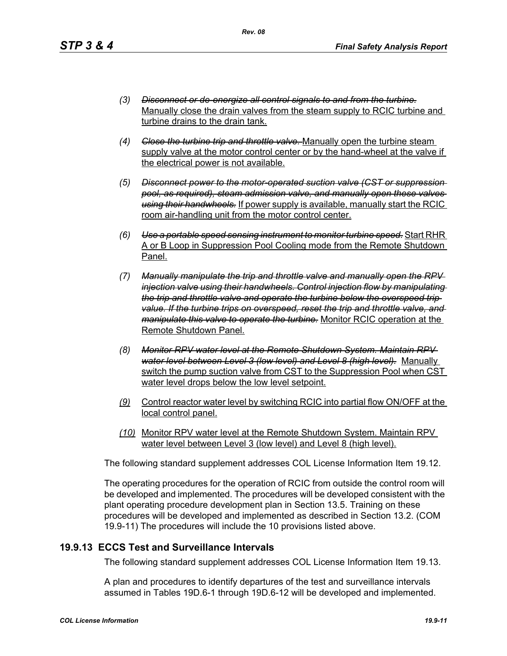- *(3) Disconnect or de-energize all control signals to and from the turbine.* Manually close the drain valves from the steam supply to RCIC turbine and turbine drains to the drain tank.
- *(4) Close the turbine trip and throttle valve.* Manually open the turbine steam supply valve at the motor control center or by the hand-wheel at the valve if the electrical power is not available.
- *(5) Disconnect power to the motor-operated suction valve (CST or suppression pool, as required), steam admission valve, and manually open these valves using their handwheels.* If power supply is available, manually start the RCIC room air-handling unit from the motor control center.
- *(6) Use a portable speed sensing instrument to monitor turbine speed.* Start RHR A or B Loop in Suppression Pool Cooling mode from the Remote Shutdown Panel.
- *(7) Manually manipulate the trip and throttle valve and manually open the RPV injection valve using their handwheels. Control injection flow by manipulating the trip and throttle valve and operate the turbine below the overspeed trip value. If the turbine trips on overspeed, reset the trip and throttle valve, and manipulate this valve to operate the turbine.* Monitor RCIC operation at the Remote Shutdown Panel.
- *(8) Monitor RPV water level at the Remote Shutdown System. Maintain RPV water level between Level 3 (low level) and Level 8 (high level).* Manually switch the pump suction valve from CST to the Suppression Pool when CST water level drops below the low level setpoint.
- *(9)* Control reactor water level by switching RCIC into partial flow ON/OFF at the local control panel.
- *(10)* Monitor RPV water level at the Remote Shutdown System. Maintain RPV water level between Level 3 (low level) and Level 8 (high level).

The following standard supplement addresses COL License Information Item 19.12.

The operating procedures for the operation of RCIC from outside the control room will be developed and implemented. The procedures will be developed consistent with the plant operating procedure development plan in Section 13.5. Training on these procedures will be developed and implemented as described in Section 13.2. (COM 19.9-11) The procedures will include the 10 provisions listed above.

## **19.9.13 ECCS Test and Surveillance Intervals**

The following standard supplement addresses COL License Information Item 19.13.

A plan and procedures to identify departures of the test and surveillance intervals assumed in Tables 19D.6-1 through 19D.6-12 will be developed and implemented.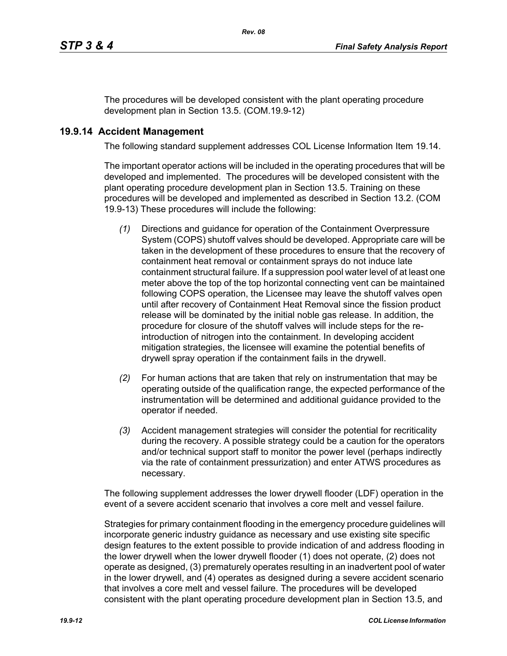The procedures will be developed consistent with the plant operating procedure development plan in Section 13.5. (COM.19.9-12)

## **19.9.14 Accident Management**

The following standard supplement addresses COL License Information Item 19.14.

The important operator actions will be included in the operating procedures that will be developed and implemented. The procedures will be developed consistent with the plant operating procedure development plan in Section 13.5. Training on these procedures will be developed and implemented as described in Section 13.2. (COM 19.9-13) These procedures will include the following:

- *(1)* Directions and guidance for operation of the Containment Overpressure System (COPS) shutoff valves should be developed. Appropriate care will be taken in the development of these procedures to ensure that the recovery of containment heat removal or containment sprays do not induce late containment structural failure. If a suppression pool water level of at least one meter above the top of the top horizontal connecting vent can be maintained following COPS operation, the Licensee may leave the shutoff valves open until after recovery of Containment Heat Removal since the fission product release will be dominated by the initial noble gas release. In addition, the procedure for closure of the shutoff valves will include steps for the reintroduction of nitrogen into the containment. In developing accident mitigation strategies, the licensee will examine the potential benefits of drywell spray operation if the containment fails in the drywell.
- *(2)* For human actions that are taken that rely on instrumentation that may be operating outside of the qualification range, the expected performance of the instrumentation will be determined and additional guidance provided to the operator if needed.
- *(3)* Accident management strategies will consider the potential for recriticality during the recovery. A possible strategy could be a caution for the operators and/or technical support staff to monitor the power level (perhaps indirectly via the rate of containment pressurization) and enter ATWS procedures as necessary.

The following supplement addresses the lower drywell flooder (LDF) operation in the event of a severe accident scenario that involves a core melt and vessel failure.

Strategies for primary containment flooding in the emergency procedure guidelines will incorporate generic industry guidance as necessary and use existing site specific design features to the extent possible to provide indication of and address flooding in the lower drywell when the lower drywell flooder (1) does not operate, (2) does not operate as designed, (3) prematurely operates resulting in an inadvertent pool of water in the lower drywell, and (4) operates as designed during a severe accident scenario that involves a core melt and vessel failure. The procedures will be developed consistent with the plant operating procedure development plan in Section 13.5, and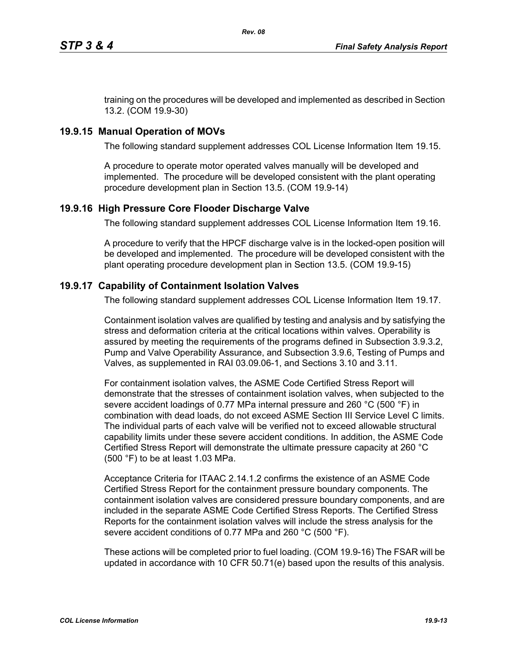training on the procedures will be developed and implemented as described in Section 13.2. (COM 19.9-30)

# **19.9.15 Manual Operation of MOVs**

The following standard supplement addresses COL License Information Item 19.15.

A procedure to operate motor operated valves manually will be developed and implemented. The procedure will be developed consistent with the plant operating procedure development plan in Section 13.5. (COM 19.9-14)

## **19.9.16 High Pressure Core Flooder Discharge Valve**

The following standard supplement addresses COL License Information Item 19.16.

A procedure to verify that the HPCF discharge valve is in the locked-open position will be developed and implemented. The procedure will be developed consistent with the plant operating procedure development plan in Section 13.5. (COM 19.9-15)

## **19.9.17 Capability of Containment Isolation Valves**

The following standard supplement addresses COL License Information Item 19.17.

Containment isolation valves are qualified by testing and analysis and by satisfying the stress and deformation criteria at the critical locations within valves. Operability is assured by meeting the requirements of the programs defined in Subsection 3.9.3.2, Pump and Valve Operability Assurance, and Subsection 3.9.6, Testing of Pumps and Valves, as supplemented in RAI 03.09.06-1, and Sections 3.10 and 3.11.

For containment isolation valves, the ASME Code Certified Stress Report will demonstrate that the stresses of containment isolation valves, when subjected to the severe accident loadings of 0.77 MPa internal pressure and 260 °C (500 °F) in combination with dead loads, do not exceed ASME Section III Service Level C limits. The individual parts of each valve will be verified not to exceed allowable structural capability limits under these severe accident conditions. In addition, the ASME Code Certified Stress Report will demonstrate the ultimate pressure capacity at 260 °C (500 °F) to be at least 1.03 MPa.

Acceptance Criteria for ITAAC 2.14.1.2 confirms the existence of an ASME Code Certified Stress Report for the containment pressure boundary components. The containment isolation valves are considered pressure boundary components, and are included in the separate ASME Code Certified Stress Reports. The Certified Stress Reports for the containment isolation valves will include the stress analysis for the severe accident conditions of 0.77 MPa and 260 °C (500 °F).

These actions will be completed prior to fuel loading. (COM 19.9-16) The FSAR will be updated in accordance with 10 CFR 50.71(e) based upon the results of this analysis.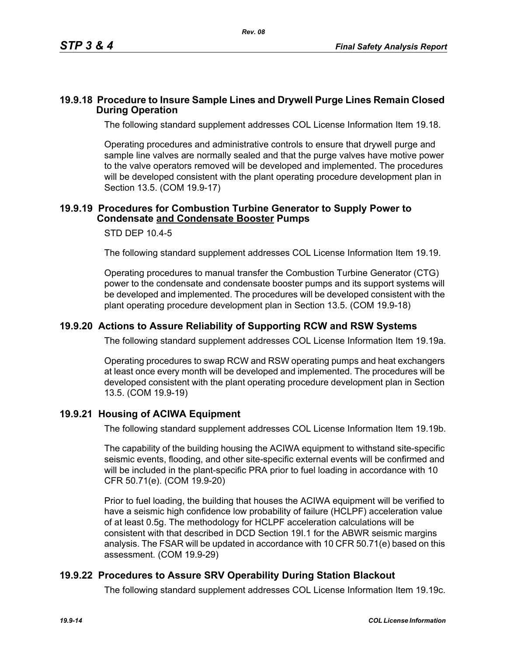#### **19.9.18 Procedure to Insure Sample Lines and Drywell Purge Lines Remain Closed During Operation**

The following standard supplement addresses COL License Information Item 19.18.

Operating procedures and administrative controls to ensure that drywell purge and sample line valves are normally sealed and that the purge valves have motive power to the valve operators removed will be developed and implemented. The procedures will be developed consistent with the plant operating procedure development plan in Section 13.5. (COM 19.9-17)

#### **19.9.19 Procedures for Combustion Turbine Generator to Supply Power to Condensate and Condensate Booster Pumps**

#### STD DEP 10.4-5

The following standard supplement addresses COL License Information Item 19.19.

Operating procedures to manual transfer the Combustion Turbine Generator (CTG) power to the condensate and condensate booster pumps and its support systems will be developed and implemented. The procedures will be developed consistent with the plant operating procedure development plan in Section 13.5. (COM 19.9-18)

#### **19.9.20 Actions to Assure Reliability of Supporting RCW and RSW Systems**

The following standard supplement addresses COL License Information Item 19.19a.

Operating procedures to swap RCW and RSW operating pumps and heat exchangers at least once every month will be developed and implemented. The procedures will be developed consistent with the plant operating procedure development plan in Section 13.5. (COM 19.9-19)

## **19.9.21 Housing of ACIWA Equipment**

The following standard supplement addresses COL License Information Item 19.19b.

The capability of the building housing the ACIWA equipment to withstand site-specific seismic events, flooding, and other site-specific external events will be confirmed and will be included in the plant-specific PRA prior to fuel loading in accordance with 10 CFR 50.71(e). (COM 19.9-20)

Prior to fuel loading, the building that houses the ACIWA equipment will be verified to have a seismic high confidence low probability of failure (HCLPF) acceleration value of at least 0.5g. The methodology for HCLPF acceleration calculations will be consistent with that described in DCD Section 19I.1 for the ABWR seismic margins analysis. The FSAR will be updated in accordance with 10 CFR 50.71(e) based on this assessment. (COM 19.9-29)

## **19.9.22 Procedures to Assure SRV Operability During Station Blackout**

The following standard supplement addresses COL License Information Item 19.19c.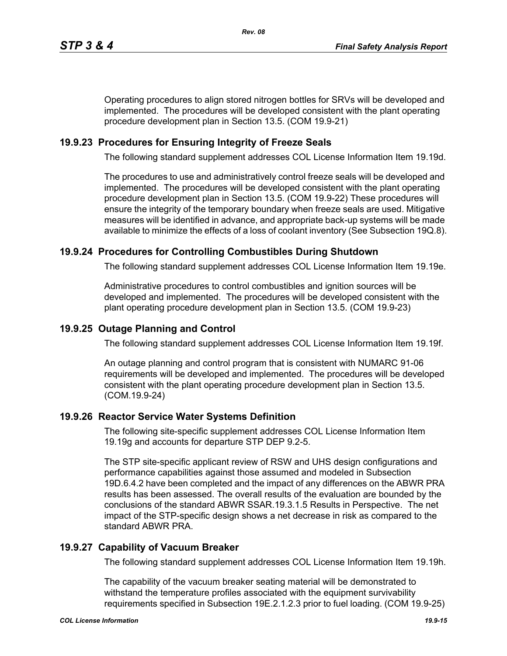Operating procedures to align stored nitrogen bottles for SRVs will be developed and implemented. The procedures will be developed consistent with the plant operating procedure development plan in Section 13.5. (COM 19.9-21)

# **19.9.23 Procedures for Ensuring Integrity of Freeze Seals**

The following standard supplement addresses COL License Information Item 19.19d.

The procedures to use and administratively control freeze seals will be developed and implemented. The procedures will be developed consistent with the plant operating procedure development plan in Section 13.5. (COM 19.9-22) These procedures will ensure the integrity of the temporary boundary when freeze seals are used. Mitigative measures will be identified in advance, and appropriate back-up systems will be made available to minimize the effects of a loss of coolant inventory (See Subsection 19Q.8).

# **19.9.24 Procedures for Controlling Combustibles During Shutdown**

The following standard supplement addresses COL License Information Item 19.19e.

Administrative procedures to control combustibles and ignition sources will be developed and implemented. The procedures will be developed consistent with the plant operating procedure development plan in Section 13.5. (COM 19.9-23)

#### **19.9.25 Outage Planning and Control**

The following standard supplement addresses COL License Information Item 19.19f.

An outage planning and control program that is consistent with NUMARC 91-06 requirements will be developed and implemented. The procedures will be developed consistent with the plant operating procedure development plan in Section 13.5. (COM.19.9-24)

## **19.9.26 Reactor Service Water Systems Definition**

The following site-specific supplement addresses COL License Information Item 19.19g and accounts for departure STP DEP 9.2-5.

The STP site-specific applicant review of RSW and UHS design configurations and performance capabilities against those assumed and modeled in Subsection 19D.6.4.2 have been completed and the impact of any differences on the ABWR PRA results has been assessed. The overall results of the evaluation are bounded by the conclusions of the standard ABWR SSAR.19.3.1.5 Results in Perspective. The net impact of the STP-specific design shows a net decrease in risk as compared to the standard ABWR PRA.

## **19.9.27 Capability of Vacuum Breaker**

The following standard supplement addresses COL License Information Item 19.19h.

The capability of the vacuum breaker seating material will be demonstrated to withstand the temperature profiles associated with the equipment survivability requirements specified in Subsection 19E.2.1.2.3 prior to fuel loading. (COM 19.9-25)